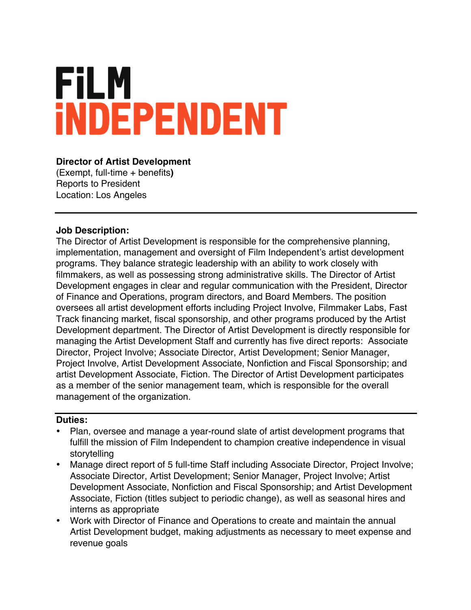# **FILM INDEPENDENT**

### **Director of Artist Development**

(Exempt, full-time + benefits**)** Reports to President Location: Los Angeles

#### **Job Description:**

The Director of Artist Development is responsible for the comprehensive planning, implementation, management and oversight of Film Independent's artist development programs. They balance strategic leadership with an ability to work closely with filmmakers, as well as possessing strong administrative skills. The Director of Artist Development engages in clear and regular communication with the President, Director of Finance and Operations, program directors, and Board Members. The position oversees all artist development efforts including Project Involve, Filmmaker Labs, Fast Track financing market, fiscal sponsorship, and other programs produced by the Artist Development department. The Director of Artist Development is directly responsible for managing the Artist Development Staff and currently has five direct reports: Associate Director, Project Involve; Associate Director, Artist Development; Senior Manager, Project Involve, Artist Development Associate, Nonfiction and Fiscal Sponsorship; and artist Development Associate, Fiction. The Director of Artist Development participates as a member of the senior management team, which is responsible for the overall management of the organization.

#### **Duties:**

- Plan, oversee and manage a year-round slate of artist development programs that fulfill the mission of Film Independent to champion creative independence in visual storytelling
- Manage direct report of 5 full-time Staff including Associate Director, Project Involve; Associate Director, Artist Development; Senior Manager, Project Involve; Artist Development Associate, Nonfiction and Fiscal Sponsorship; and Artist Development Associate, Fiction (titles subject to periodic change), as well as seasonal hires and interns as appropriate
- Work with Director of Finance and Operations to create and maintain the annual Artist Development budget, making adjustments as necessary to meet expense and revenue goals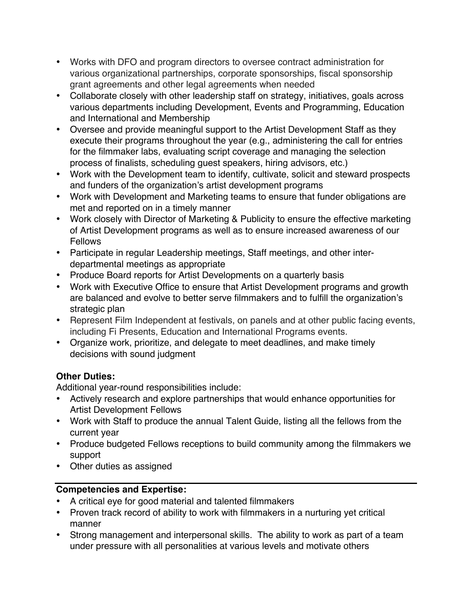- Works with DFO and program directors to oversee contract administration for various organizational partnerships, corporate sponsorships, fiscal sponsorship grant agreements and other legal agreements when needed
- Collaborate closely with other leadership staff on strategy, initiatives, goals across various departments including Development, Events and Programming, Education and International and Membership
- Oversee and provide meaningful support to the Artist Development Staff as they execute their programs throughout the year (e.g., administering the call for entries for the filmmaker labs, evaluating script coverage and managing the selection process of finalists, scheduling guest speakers, hiring advisors, etc.)
- Work with the Development team to identify, cultivate, solicit and steward prospects and funders of the organization's artist development programs
- Work with Development and Marketing teams to ensure that funder obligations are met and reported on in a timely manner
- Work closely with Director of Marketing & Publicity to ensure the effective marketing of Artist Development programs as well as to ensure increased awareness of our Fellows
- Participate in regular Leadership meetings, Staff meetings, and other interdepartmental meetings as appropriate
- Produce Board reports for Artist Developments on a quarterly basis
- Work with Executive Office to ensure that Artist Development programs and growth are balanced and evolve to better serve filmmakers and to fulfill the organization's strategic plan
- Represent Film Independent at festivals, on panels and at other public facing events, including Fi Presents, Education and International Programs events.
- Organize work, prioritize, and delegate to meet deadlines, and make timely decisions with sound judgment

## **Other Duties:**

Additional year-round responsibilities include:

- Actively research and explore partnerships that would enhance opportunities for Artist Development Fellows
- Work with Staff to produce the annual Talent Guide, listing all the fellows from the current year
- Produce budgeted Fellows receptions to build community among the filmmakers we support
- Other duties as assigned

## **Competencies and Expertise:**

- A critical eye for good material and talented filmmakers
- Proven track record of ability to work with filmmakers in a nurturing yet critical manner
- Strong management and interpersonal skills. The ability to work as part of a team under pressure with all personalities at various levels and motivate others